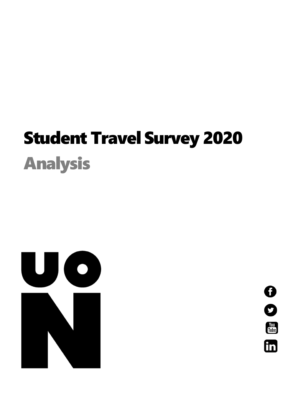# Student Travel Survey 2020 Analysis



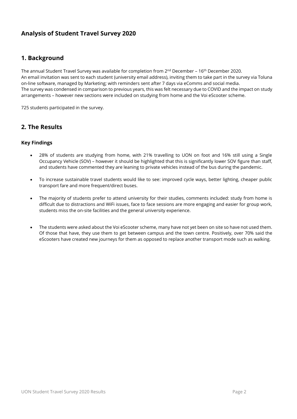# **Analysis of Student Travel Survey 2020**

# **1. Background**

The annual Student Travel Survey was available for completion from 2 $^{\rm nd}$  December – 16 $^{\rm th}$  December 2020. An email invitation was sent to each student (university email address), inviting them to take part in the survey via Toluna on-line software, managed by Marketing; with reminders sent after 7 days via eComms and social media. The survey was condensed in comparison to previous years, this was felt necessary due to COVID and the impact on study arrangements – however new sections were included on studying from home and the Voi eScooter scheme.

725 students participated in the survey.

## **2. The Results**

## **Key Findings**

- 28% of students are studying from home, with 21% travelling to UON on foot and 16% still using a Single Occupancy Vehicle (SOV) – however it should be highlighted that this is significantly lower SOV figure than staff, and students have commented they are leaning to private vehicles instead of the bus during the pandemic.
- To increase sustainable travel students would like to see: improved cycle ways, better lighting, cheaper public transport fare and more frequent/direct buses.
- The majority of students prefer to attend university for their studies, comments included: study from home is difficult due to distractions and WiFi issues, face to face sessions are more engaging and easier for group work, students miss the on-site facilities and the general university experience.
- The students were asked about the Voi eScooter scheme, many have not yet been on site so have not used them. Of those that have, they use them to get between campus and the town centre. Positively, over 70% said the eScooters have created new journeys for them as opposed to replace another transport mode such as walking.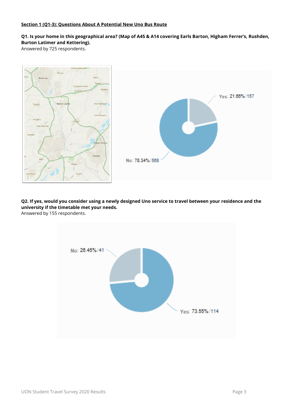#### **Section 1 (Q1-3): Questions About A Potential New Uno Bus Route**

**Q1. Is your home in this geographical area? (Map of A45 & A14 covering Earls Barton, Higham Ferrer's, Rushden, Burton Latimer and Kettering).** 

Answered by 725 respondents.



**Q2. If yes, would you consider using a newly designed Uno service to travel between your residence and the university if the timetable met your needs.**  Answered by 155 respondents.

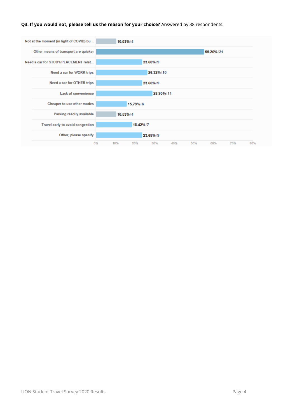#### **Q3. If you would not, please tell us the reason for your choice?** Answered by 38 respondents.

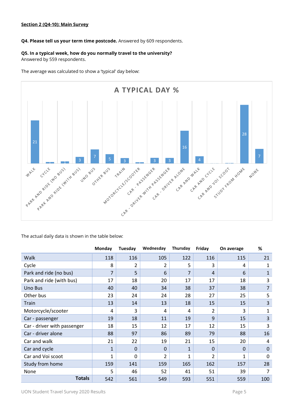#### **Q4. Please tell us your term time postcode.** Answered by 609 respondents.

#### **Q5. In a typical week, how do you normally travel to the university?**

Answered by 559 respondents.

The average was calculated to show a 'typical' day below:



The actual daily data is shown in the table below:

|                             | Monday         | Tuesday        | Wednesday      | Thursday       | Friday         | On average  | %              |  |
|-----------------------------|----------------|----------------|----------------|----------------|----------------|-------------|----------------|--|
| Walk                        | 118            | 116            | 105            | 122            | 116            | 115         | 21             |  |
| Cycle                       | 8              | $\overline{2}$ | 2              | 5              | 3              | 4           | 1              |  |
| Park and ride (no bus)      | $\overline{7}$ | 5              | 6              | $\overline{7}$ | $\overline{4}$ | 6           | $\mathbf{1}$   |  |
| Park and ride (with bus)    | 17             | 18             | 20             | 17             | 17             | 18          | 3              |  |
| Uno Bus                     | 40             | 40             | 34             | 38             | 37             | 38          | 7              |  |
| Other bus                   | 23             | 24             | 24             | 28             | 27             | 25          | 5              |  |
| Train                       | 13             | 14             | 13             | 18             | 15             | 15          | 3              |  |
| Motorcycle/scooter          | 4              | 3              | 4              | 4              | 2              | 3           | $\mathbf{1}$   |  |
| Car - passenger             | 19             | 18             | 11             | 19             | 9              | 15          | 3              |  |
| Car - driver with passenger | 18             | 15             | 12             | 17             | 12             | 15          | 3              |  |
| Car - driver alone          | 88             | 97             | 86             | 89             | 79             | 88          | 16             |  |
| Car and walk                | 21             | 22             | 19             | 21             | 15             | 20          | $\overline{4}$ |  |
| Car and cycle               | 1              | 0              | $\Omega$       | $\mathbf{1}$   | $\mathbf{0}$   | $\mathbf 0$ | $\mathbf 0$    |  |
| Car and Voi scoot           | 1              | 0              | $\overline{2}$ | 1              | 2              | $\mathbf 1$ | $\Omega$       |  |
| Study from home             | 159            | 141            | 159            | 165            | 162            | 157         | 28             |  |
| None                        | 5              | 46             | 52             | 41             | 51             | 39          | 7              |  |
| <b>Totals</b>               | 542            | 561            | 549            | 593            | 551            | 559         | 100            |  |

UON Student Travel Survey 2020 Results **Page 5**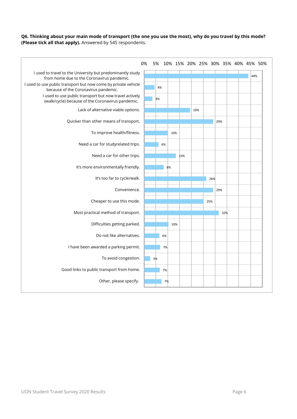#### **Q6. Thinking about your main mode of transport (the one you use the most), why do you travel by this mode? (Please tick all that apply).** Answered by 545 respondents.

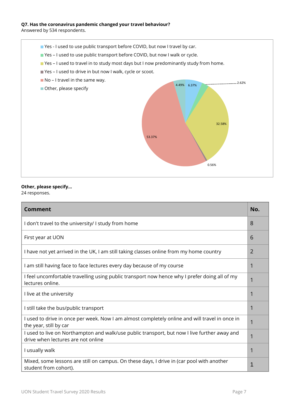#### **Q7. Has the coronavirus pandemic changed your travel behaviour?**

Answered by 534 respondents.

- Yes I used to use public transport before COVID, but now I travel by car.
- Yes I used to use public transport before COVID, but now I walk or cycle.
- Yes I used to travel in to study most days but I now predominantly study from home.
- Yes I used to drive in but now I walk, cycle or scoot.
- $\blacksquare$  No I travel in the same way.
- Other, please specify



#### **Other, please specify…**

24 responses.

| <b>Comment</b>                                                                                                                     | No.            |
|------------------------------------------------------------------------------------------------------------------------------------|----------------|
| I don't travel to the university/ I study from home                                                                                | 8              |
| First year at UON                                                                                                                  | 6              |
| I have not yet arrived in the UK, I am still taking classes online from my home country                                            | $\overline{2}$ |
| I am still having face to face lectures every day because of my course                                                             | 1              |
| I feel uncomfortable travelling using public transport now hence why I prefer doing all of my<br>lectures online.                  | 1              |
| I live at the university                                                                                                           | 1              |
| I still take the bus/public transport                                                                                              | 1              |
| I used to drive in once per week. Now I am almost completely online and will travel in once in<br>the year, still by car           |                |
| I used to live on Northampton and walk/use public transport, but now I live further away and<br>drive when lectures are not online |                |
| I usually walk                                                                                                                     |                |
| Mixed, some lessons are still on campus. On these days, I drive in (car pool with another<br>student from cohort).                 | 1              |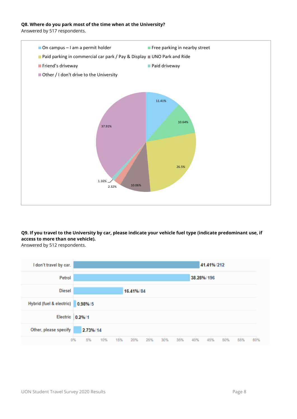#### **Q8. Where do you park most of the time when at the University?**

Answered by 517 respondents.



**Q9. If you travel to the University by car, please indicate your vehicle fuel type (indicate predominant use, if access to more than one vehicle).** 



Answered by 512 respondents.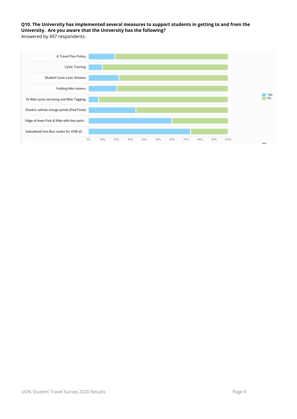#### **Q10. The University has implemented several measures to support students in getting to and from the University. Are you aware that the University has the following?** Answered by 497 respondents.

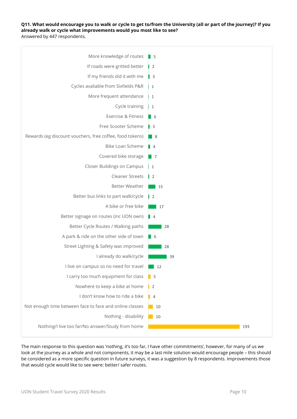**Q11. What would encourage you to walk or cycle to get to/from the University (all or part of the journey)? If you already walk or cycle what improvements would you most like to see?**  Answered by 447 respondents.



The main response to this question was 'nothing, it's too far, I have other commitments', however, for many of us we look at the journey as a whole and not components, it may be a last mile solution would encourage people – this should be considered as a more specific question in future surveys, it was a suggestion by 8 respondents. Improvements those that would cycle would like to see were: better/ safer routes.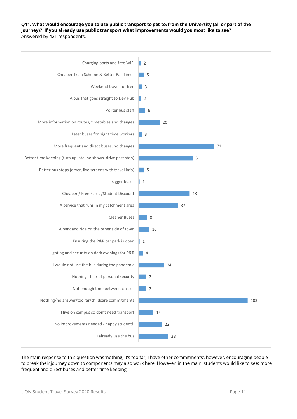**Q11. What would encourage you to use public transport to get to/from the University (all or part of the journey)? If you already use public transport what improvements would you most like to see?**  Answered by 421 respondents.



The main response to this question was 'nothing, it's too far, I have other commitments', however, encouraging people to break their journey down to components may also work here. However, in the main, students would like to see: more frequent and direct buses and better time keeping.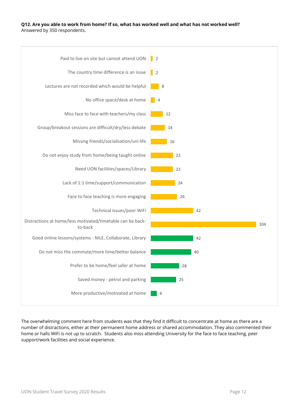#### **Q12. Are you able to work from home? If so, what has worked well and what has not worked well?**  Answered by 350 respondents.



The overwhelming comment here from students was that they find it difficult to concentrate at home as there are a number of distractions, either at their permanent home address or shared accommodation. They also commented their home or halls WiFi is not up to scratch. Students also miss attending University for the face to face teaching, peer support/work facilities and social experience.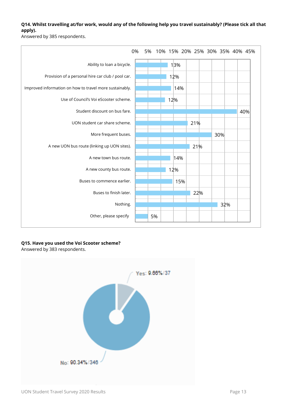#### **Q14. Whilst travelling at/for work, would any of the following help you travel sustainably? (Please tick all that apply).**

Answered by 385 respondents.



## **Q15. Have you used the Voi Scooter scheme?**

Answered by 383 respondents.

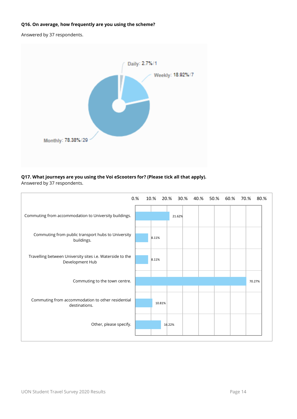#### **Q16. On average, how frequently are you using the scheme?**

Answered by 37 respondents.



## **Q17. What journeys are you using the Voi eScooters for? (Please tick all that apply).**

Answered by 37 respondents.

|                                                                              | 0.% |       |        |        |  |  | 10.% 20.% 30.% 40.% 50.% 60.% 70.% 80.% |        |
|------------------------------------------------------------------------------|-----|-------|--------|--------|--|--|-----------------------------------------|--------|
| Commuting from accommodation to University buildings.                        |     |       |        | 21.62% |  |  |                                         |        |
| Commuting from public transport hubs to University<br>buildings.             |     | 8.11% |        |        |  |  |                                         |        |
| Travelling between University sites i.e. Waterside to the<br>Development Hub |     | 8.11% |        |        |  |  |                                         |        |
| Commuting to the town centre.                                                |     |       |        |        |  |  |                                         | 70.27% |
| Commuting from accommodation to other residential<br>destinations.           |     |       | 10.81% |        |  |  |                                         |        |
| Other, please specify.                                                       |     |       | 16.22% |        |  |  |                                         |        |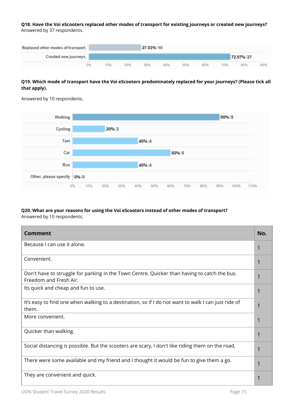**Q18. Have the Voi eScooters replaced other modes of transport for existing journeys or created new journeys?** Answered by 37 respondents.



## **Q19. Which mode of transport have the Voi eScooters predominately replaced for your journeys? (Please tick all that apply).**



Answered by 10 respondents.

#### **Q20. What are your reasons for using the Voi eScooters instead of other modes of transport?** Answered by 10 respondents.

| Comment                                                                                                                | No. |
|------------------------------------------------------------------------------------------------------------------------|-----|
| Because I can use it alone.                                                                                            |     |
| Convenient.                                                                                                            |     |
| Don't have to struggle for parking in the Town Centre. Quicker than having to catch the bus.<br>Freedom and Fresh Air. |     |
| Its quick and cheap and fun to use.                                                                                    |     |
| It's easy to find one when walking to a destination, so if I do not want to walk I can just ride of<br>them.           |     |
| More convenient.                                                                                                       |     |
| Quicker than walking.                                                                                                  |     |
| Social distancing is possible. But the scooters are scary, I don't like riding them on the road,                       |     |
| There were some available and my friend and I thought it would be fun to give them a go.                               |     |
| They are convenient and quick.                                                                                         |     |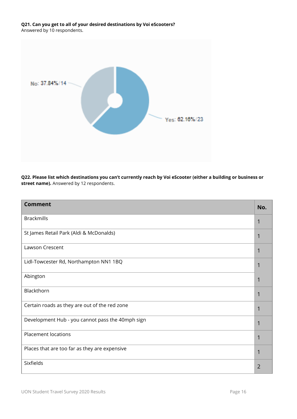## **Q21. Can you get to all of your desired destinations by Voi eScooters?**

Answered by 10 respondents.



**Q22. Please list which destinations you can't currently reach by Voi eScooter (either a building or business or street name).** Answered by 12 respondents.

| <b>Comment</b>                                   | No. |
|--------------------------------------------------|-----|
| <b>Brackmills</b>                                |     |
| St James Retail Park (Aldi & McDonalds)          | 1   |
| <b>Lawson Crescent</b>                           |     |
| Lidl-Towcester Rd, Northampton NN1 1BQ           |     |
| Abington                                         |     |
| Blackthorn                                       |     |
| Certain roads as they are out of the red zone    |     |
| Development Hub - you cannot pass the 40mph sign |     |
| <b>Placement locations</b>                       |     |
| Places that are too far as they are expensive    | 1   |
| <b>Sixfields</b>                                 | 2   |